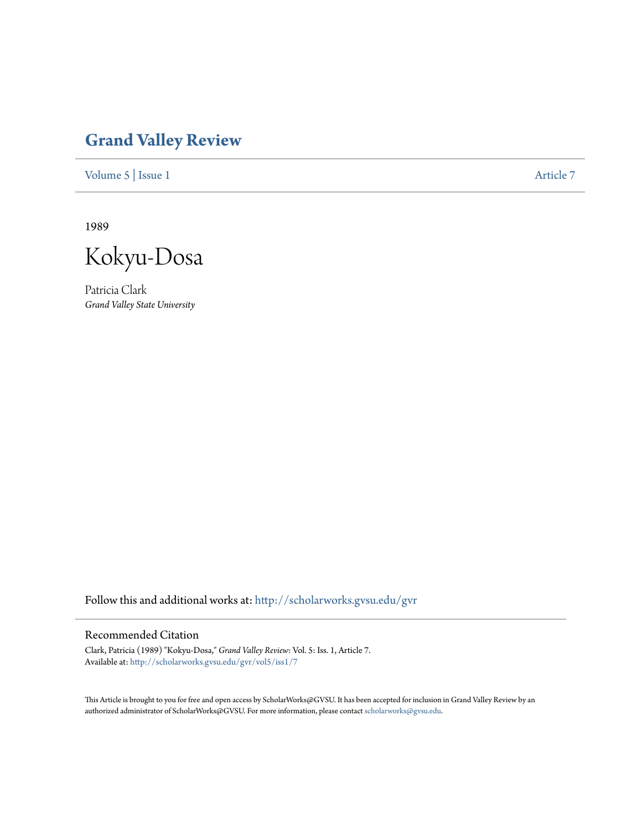## **[Grand Valley Review](http://scholarworks.gvsu.edu/gvr?utm_source=scholarworks.gvsu.edu%2Fgvr%2Fvol5%2Fiss1%2F7&utm_medium=PDF&utm_campaign=PDFCoverPages)**

[Volume 5](http://scholarworks.gvsu.edu/gvr/vol5?utm_source=scholarworks.gvsu.edu%2Fgvr%2Fvol5%2Fiss1%2F7&utm_medium=PDF&utm_campaign=PDFCoverPages) | [Issue 1](http://scholarworks.gvsu.edu/gvr/vol5/iss1?utm_source=scholarworks.gvsu.edu%2Fgvr%2Fvol5%2Fiss1%2F7&utm_medium=PDF&utm_campaign=PDFCoverPages) [Article 7](http://scholarworks.gvsu.edu/gvr/vol5/iss1/7?utm_source=scholarworks.gvsu.edu%2Fgvr%2Fvol5%2Fiss1%2F7&utm_medium=PDF&utm_campaign=PDFCoverPages)

1989

Kokyu-Dosa

Patricia Clark *Grand Valley State University*

Follow this and additional works at: [http://scholarworks.gvsu.edu/gvr](http://scholarworks.gvsu.edu/gvr?utm_source=scholarworks.gvsu.edu%2Fgvr%2Fvol5%2Fiss1%2F7&utm_medium=PDF&utm_campaign=PDFCoverPages)

## Recommended Citation

Clark, Patricia (1989) "Kokyu-Dosa," *Grand Valley Review*: Vol. 5: Iss. 1, Article 7. Available at: [http://scholarworks.gvsu.edu/gvr/vol5/iss1/7](http://scholarworks.gvsu.edu/gvr/vol5/iss1/7?utm_source=scholarworks.gvsu.edu%2Fgvr%2Fvol5%2Fiss1%2F7&utm_medium=PDF&utm_campaign=PDFCoverPages)

This Article is brought to you for free and open access by ScholarWorks@GVSU. It has been accepted for inclusion in Grand Valley Review by an authorized administrator of ScholarWorks@GVSU. For more information, please contact [scholarworks@gvsu.edu.](mailto:scholarworks@gvsu.edu)